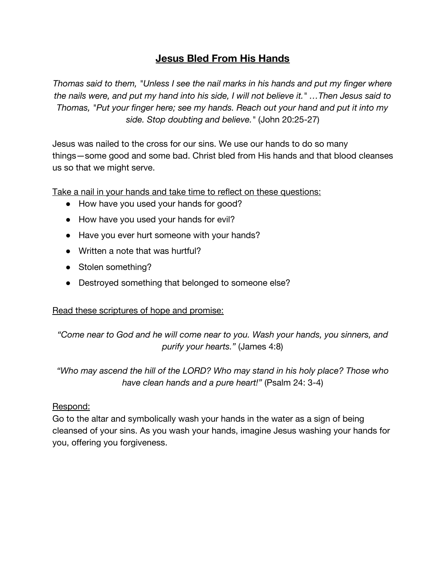## **Jesus Bled From His Hands**

*Thomas said to them, "Unless I see the nail marks in his hands and put my finger where the nails were, and put my hand into his side, I will not believe it." …Then Jesus said to Thomas, "Put your finger here; see my hands. Reach out your hand and put it into my side. Stop doubting and believe."* (John 20:25-27)

Jesus was nailed to the cross for our sins. We use our hands to do so many things—some good and some bad. Christ bled from His hands and that blood cleanses us so that we might serve.

Take a nail in your hands and take time to reflect on these questions:

- How have you used your hands for good?
- How have you used your hands for evil?
- Have you ever hurt someone with your hands?
- Written a note that was hurtful?
- Stolen something?
- Destroyed something that belonged to someone else?

### Read these scriptures of hope and promise:

*"Come near to God and he will come near to you. Wash your hands, you sinners, and purify your hearts."* (James 4:8)

*"Who may ascend the hill of the LORD? Who may stand in his holy place? Those who have clean hands and a pure heart!"* (Psalm 24: 3-4)

### Respond:

Go to the altar and symbolically wash your hands in the water as a sign of being cleansed of your sins. As you wash your hands, imagine Jesus washing your hands for you, offering you forgiveness.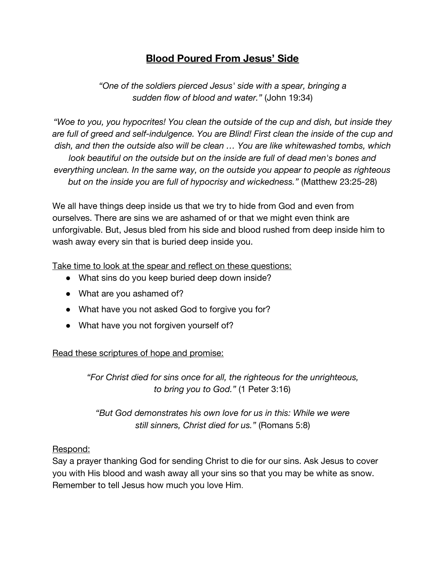# **Blood Poured From Jesus' Side**

*"One of the soldiers pierced Jesus' side with a spear, bringing a sudden flow of blood and water."* (John 19:34)

*"Woe to you, you hypocrites! You clean the outside of the cup and dish, but inside they are full of greed and self-indulgence. You are Blind! First clean the inside of the cup and dish, and then the outside also will be clean … You are like whitewashed tombs, which look beautiful on the outside but on the inside are full of dead men's bones and everything unclean. In the same way, on the outside you appear to people as righteous but on the inside you are full of hypocrisy and wickedness."* (Matthew 23:25-28)

We all have things deep inside us that we try to hide from God and even from ourselves. There are sins we are ashamed of or that we might even think are unforgivable. But, Jesus bled from his side and blood rushed from deep inside him to wash away every sin that is buried deep inside you.

Take time to look at the spear and reflect on these questions:

- What sins do you keep buried deep down inside?
- What are you ashamed of?
- What have you not asked God to forgive you for?
- What have you not forgiven yourself of?

Read these scriptures of hope and promise:

*"For Christ died for sins once for all, the righteous for the unrighteous, to bring you to God."* (1 Peter 3:16)

*"But God demonstrates his own love for us in this: While we were still sinners, Christ died for us."* (Romans 5:8)

### Respond:

Say a prayer thanking God for sending Christ to die for our sins. Ask Jesus to cover you with His blood and wash away all your sins so that you may be white as snow. Remember to tell Jesus how much you love Him.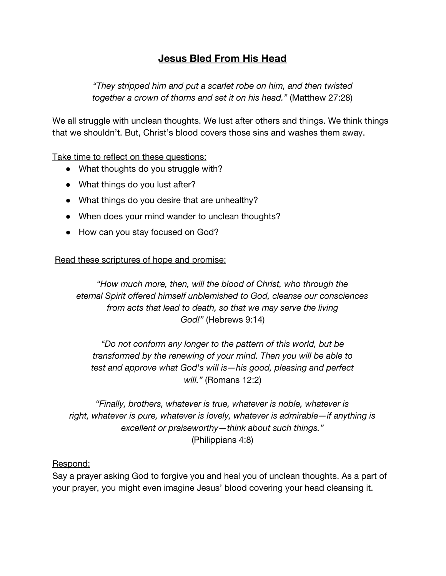# **Jesus Bled From His Head**

*"They stripped him and put a scarlet robe on him, and then twisted together a crown of thorns and set it on his head."* (Matthew 27:28)

We all struggle with unclean thoughts. We lust after others and things. We think things that we shouldn't. But, Christ's blood covers those sins and washes them away.

Take time to reflect on these questions:

- What thoughts do you struggle with?
- What things do you lust after?
- What things do you desire that are unhealthy?
- When does your mind wander to unclean thoughts?
- How can you stay focused on God?

Read these scriptures of hope and promise:

*"How much more, then, will the blood of Christ, who through the eternal Spirit offered himself unblemished to God, cleanse our consciences from acts that lead to death, so that we may serve the living God!"* (Hebrews 9:14)

*"Do not conform any longer to the pattern of this world, but be transformed by the renewing of your mind. Then you will be able to test and approve what God's will is—his good, pleasing and perfect will."* (Romans 12:2)

*"Finally, brothers, whatever is true, whatever is noble, whatever is right, whatever is pure, whatever is lovely, whatever is admirable—if anything is excellent or praiseworthy—think about such things."* (Philippians 4:8)

### Respond:

Say a prayer asking God to forgive you and heal you of unclean thoughts. As a part of your prayer, you might even imagine Jesus' blood covering your head cleansing it.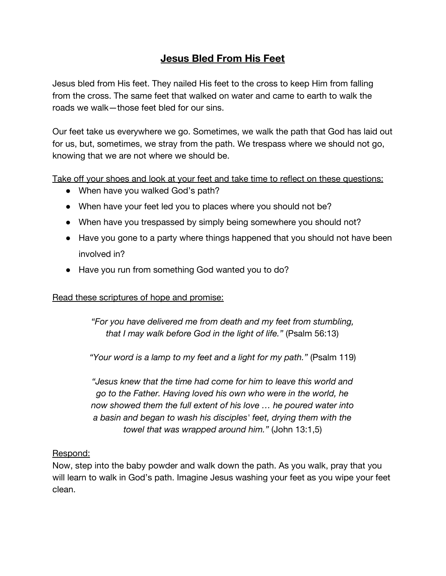## **Jesus Bled From His Feet**

Jesus bled from His feet. They nailed His feet to the cross to keep Him from falling from the cross. The same feet that walked on water and came to earth to walk the roads we walk—those feet bled for our sins.

Our feet take us everywhere we go. Sometimes, we walk the path that God has laid out for us, but, sometimes, we stray from the path. We trespass where we should not go, knowing that we are not where we should be.

Take off your shoes and look at your feet and take time to reflect on these questions:

- When have you walked God's path?
- When have your feet led you to places where you should not be?
- When have you trespassed by simply being somewhere you should not?
- Have you gone to a party where things happened that you should not have been involved in?
- Have you run from something God wanted you to do?

### Read these scriptures of hope and promise:

*"For you have delivered me from death and my feet from stumbling, that I may walk before God in the light of life."* (Psalm 56:13)

*"Your word is a lamp to my feet and a light for my path."* (Psalm 119)

*"Jesus knew that the time had come for him to leave this world and go to the Father. Having loved his own who were in the world, he now showed them the full extent of his love … he poured water into a basin and began to wash his disciples' feet, drying them with the towel that was wrapped around him."* (John 13:1,5)

### Respond:

Now, step into the baby powder and walk down the path. As you walk, pray that you will learn to walk in God's path. Imagine Jesus washing your feet as you wipe your feet clean.